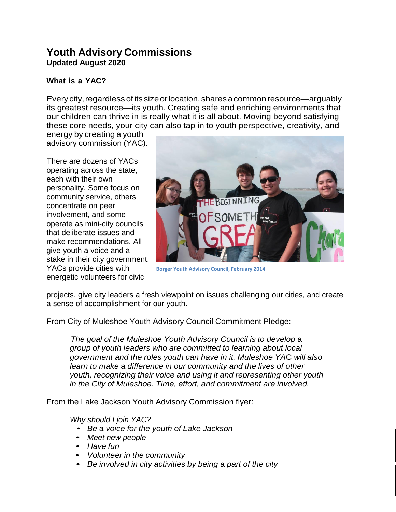# **Youth Advisory Commissions Updated August 2020**

# **What is a YAC?**

Every city, regardless of its size or location, shares a common resource—arguably its greatest resource—its youth. Creating safe and enriching environments that our children can thrive in is really what it is all about. Moving beyond satisfying these core needs, your city can also tap in to youth perspective, creativity, and

energy by creating a youth advisory commission (YAC).

There are dozens of YACs operating across the state, each with their own personality. Some focus on community service, others concentrate on peer involvement, and some operate as mini-city councils that deliberate issues and make recommendations. All give youth a voice and a stake in their city government. YACs provide cities with energetic volunteers for civic



**Borger Youth Advisory Council, February 2014**

projects, give city leaders a fresh viewpoint on issues challenging our cities, and create a sense of accomplishment for our youth.

From City of Muleshoe Youth Advisory Council Commitment Pledge:

*The goal of the Muleshoe Youth Advisory Council is to develop* a *group of youth leaders who are committed to learning about local government and the roles youth can have in it. Muleshoe YA*C *will also learn to make* a *difference in our community and the lives of other youth, recognizing their voice and using it and representing other youth in the City of Muleshoe. Time, effort, and commitment are involved.*

From the Lake Jackson Youth Advisory Commission flyer:

*Why should I join YAC?*

- *Be* <sup>a</sup> *voice for the youth of Lake Jackson*
- *Meet new people*
- *Have fun*
- *Volunteer in the community*
- *Be involved in city activities by being* <sup>a</sup> *part of the city*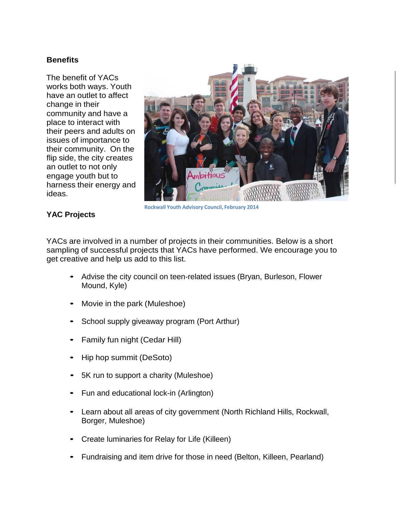# **Benefits**

The benefit of YACs works both ways. Youth have an outlet to affect change in their community and have a place to interact with their peers and adults on issues of importance to their community. On the flip side, the city creates an outlet to not only engage youth but to harness their energy and ideas.



**Rockwall Youth Advisory Council, February 2014**

## **YAC Projects**

YACs are involved in a number of projects in their communities. Below is a short sampling of successful projects that YACs have performed. We encourage you to get creative and help us add to this list.

- Advise the city council on teen-related issues (Bryan, Burleson, Flower Mound, Kyle)
- Movie in the park (Muleshoe)
- School supply giveaway program (Port Arthur)
- Family fun night (Cedar Hill)
- Hip hop summit (DeSoto)
- 5K run to support <sup>a</sup> charity (Muleshoe)
- Fun and educational lock-in (Arlington)
- Learn about all areas of city government (North Richland Hills, Rockwall, Borger, Muleshoe)
- Create luminaries for Relay for Life (Killeen)
- Fundraising and item drive for those in need (Belton, Killeen, Pearland)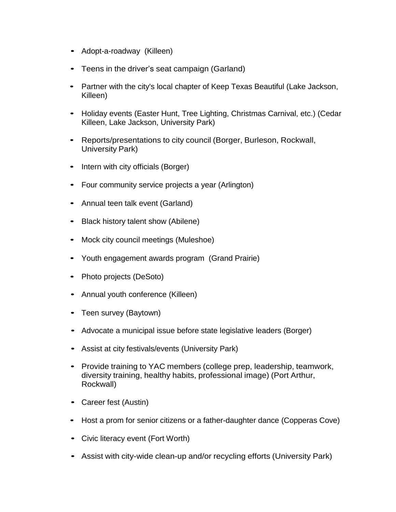- Adopt-a-roadway (Killeen)
- Teens in the driver's seat campaign (Garland)
- Partner with the city's local chapter of Keep Texas Beautiful (Lake Jackson, Killeen)
- Holiday events (Easter Hunt, Tree Lighting, Christmas Carnival, etc.) (Cedar Killeen, Lake Jackson, University Park)
- Reports/presentations to city council (Borger, Burleson, Rockwall, University Park)
- Intern with city officials (Borger)
- Four community service projects <sup>a</sup> year (Arlington)
- Annual teen talk event (Garland)
- Black history talent show (Abilene)
- Mock city council meetings (Muleshoe)
- Youth engagement awards program (Grand Prairie)
- Photo projects (DeSoto)
- Annual youth conference (Killeen)
- Teen survey (Baytown)
- Advocate a municipal issue before state legislative leaders (Borger)
- Assist at city festivals/events (University Park)
- Provide training to YAC members (college prep, leadership, teamwork, diversity training, healthy habits, professional image) (Port Arthur, Rockwall)
- Career fest (Austin)
- Host a prom for senior citizens or a father-daughter dance (Copperas Cove)
- Civic literacy event (Fort Worth)
- Assist with city-wide clean-up and/or recycling efforts (University Park)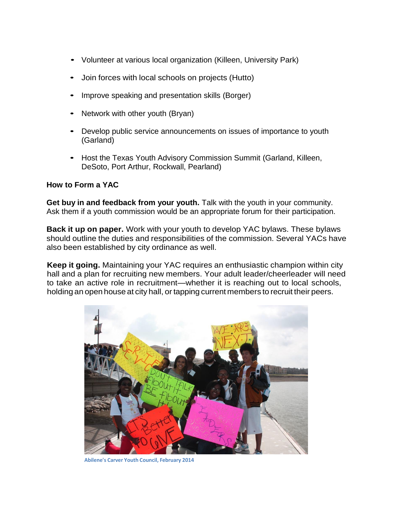- Volunteer at various local organization (Killeen, University Park)
- Join forces with local schools on projects (Hutto)
- Improve speaking and presentation skills (Borger)
- Network with other youth (Bryan)
- Develop public service announcements on issues of importance to youth (Garland)
- Host the Texas Youth Advisory Commission Summit (Garland, Killeen, DeSoto, Port Arthur, Rockwall, Pearland)

### **How to Form a YAC**

**Get buy in and feedback from your youth.** Talk with the youth in your community. Ask them if a youth commission would be an appropriate forum for their participation.

**Back it up on paper.** Work with your youth to develop YAC bylaws. These bylaws should outline the duties and responsibilities of the commission. Several YACs have also been established by city ordinance as well.

**Keep it going.** Maintaining your YAC requires an enthusiastic champion within city hall and a plan for recruiting new members. Your adult leader/cheerleader will need to take an active role in recruitment—whether it is reaching out to local schools, holding an open house at city hall, or tapping current members to recruit their peers.



**Abilene's Carver Youth Council, February 2014**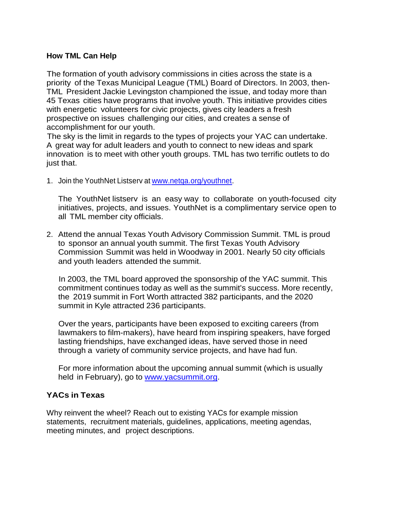### **How TML Can Help**

The formation of youth advisory commissions in cities across the state is a priority of the Texas Municipal League (TML) Board of Directors. In 2003, then-TML President Jackie Levingston championed the issue, and today more than 45 Texas cities have programs that involve youth. This initiative provides cities with energetic volunteers for civic projects, gives city leaders a fresh prospective on issues challenging our cities, and creates a sense of accomplishment for our youth.

The sky is the limit in regards to the types of projects your YAC can undertake. A great way for adult leaders and youth to connect to new ideas and spark innovation is to meet with other youth groups. TML has two terrific outlets to do just that.

1. Join the YouthNet Listserv at www.netga.org/youthnet.

The YouthNet listserv is an easy way to collaborate on youth-focused city initiatives, projects, and issues. YouthNet is a complimentary service open to all TML member city officials.

2. Attend the annual Texas Youth Advisory Commission Summit. TML is proud to sponsor an annual youth summit. The first Texas Youth Advisory Commission Summit was held in Woodway in 2001. Nearly 50 city officials and youth leaders attended the summit.

In 2003, the TML board approved the sponsorship of the YAC summit. This commitment continues today as well as the summit's success. More recently, the 2019 summit in Fort Worth attracted 382 participants, and the 2020 summit in Kyle attracted 236 participants.

Over the years, participants have been exposed to exciting careers (from lawmakers to film-makers), have heard from inspiring speakers, have forged lasting friendships, have exchanged ideas, have served those in need through a variety of community service projects, and have had fun.

For more information about the upcoming annual summit (which is usually held in February), go to [www.yacsummit.org.](http://www.yacsummit.org/)

# **YACs in Texas**

Why reinvent the wheel? Reach out to existing YACs for example mission statements, recruitment materials, guidelines, applications, meeting agendas, meeting minutes, and project descriptions.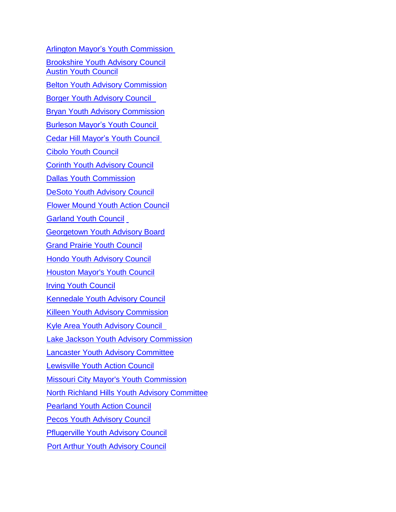[Arlington Mayor's](https://www.arlingtontx.gov/city_hall/government/mayor/mayor_s_youth_commission) Youth Commission [Brookshire Youth Advisory Council](https://www.brookshiretexas.org/citycouncil/page/youth-advisory-council-meeting) [Austin Youth](http://austintexas.gov/page/austin-youth-council) Council Belton [Youth Advisory](https://www.beltontexas.gov/government/boards_and_commissions/youth_advisory_commission.php) Commission Borger Youth [Advisory](https://borgertx.gov/316/Borger-Youth-Advisory-Council) Council Bryan Youth Advisory [Commission](https://www.bryantx.gov/youth-advisory-commission/) [Burleson](https://www.burlesontx.com/index.aspx?nid=81) Mayor's Youth Council [Cedar Hill Mayor's](http://www.cedarhilltx.com/1969/Mayors-Teen-Council) Youth Council Cibolo [Youth Council](https://www.govserv.org/US/Cibolo/1446662748935063/Cibolo-Youth-Council) [Corinth Youth Advisory Council](https://www.cityofcorinth.com/yac) [Dallas Youth Commission](https://dallascityhall.com/government/meetings/Pages/youth-commission.aspx) DeSoto [Youth Advisory](http://www.ci.desoto.tx.us/index.aspx?nid=617) Council Flower Mound [Youth Action](http://www.flower-mound.com/index.aspx?NID=892) Council [Garland Youth](http://www.ci.frisco.tx.us/782/About-MYC) Council Georgetown [Youth Advisory](https://parks.georgetown.org/georgetown-youth-advisory-board-gyab/) Board Grand Prairie Youth [Council](https://www.facebook.com/gpYouthCouncil) [Hondo Youth Advisory Council](https://twitter.com/HondoYAC) [Houston Mayor's](http://www.houstontx.gov/myc/) Youth Council Irving Youth [Council](http://cityofirving.org/1173/Irving-Youth-Action-Council) [Kennedale](http://www.cityofkennedale.com/index.aspx?NID=263) Youth Advisory Council [Killeen Youth](https://www.facebook.com/YACkilleen/) Advisory Commission Kyle [Area Youth Advisory](https://www.cityofkyle.com/communications/kyle-area-youth-advisory-council-kayac) Council Lake Jackson [Youth Advisory](http://www.lakejackson-tx.gov/index.aspx?NID=117) Commission Lancaster Youth Advisory [Committee](http://www.lancaster-tx.com/index.aspx?NID=135) Lewisville Youth Action Council Missouri City Mayor's Youth [Commission](http://www.missouricitytx.gov/?nid=599) [North Richland](https://www.nrhtx.com/index.aspx?NID=523) Hills Youth Advisory Committee [Pearland](https://www.pearlandtx.gov/departments/parks-recreation/programs/youth-action-council) Youth Action Council [Pecos Youth Advisory Council](https://www.pecostx.gov/home/showpublisheddocument/3239/637225472158900000) [Pflugerville Youth Advisory Council](https://www.pflugervilletx.gov/city-government/city-council-and-mayor/youth-advisory-council) Port Arthur [Youth Advisory](https://portarthurtx.gov/336/Boards-Authorities-Commissions-Committee) Council